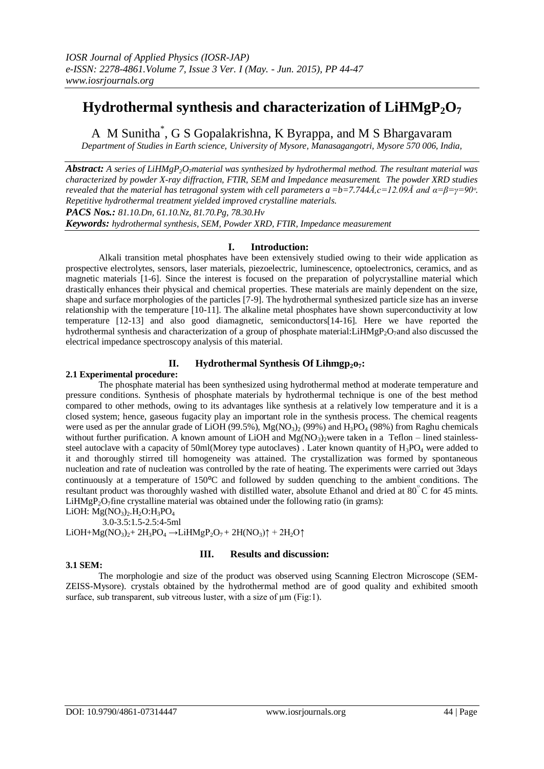# **Hydrothermal synthesis and characterization of LiHMgP2O<sup>7</sup>**

A M Sunitha\* , G S Gopalakrishna, K Byrappa, and M S Bhargavaram

*Department of Studies in Earth science, University of Mysore, Manasagangotri, Mysore 570 006, India,*

*Abstract: A series of LiHMgP2O7material was synthesized by hydrothermal method. The resultant material was characterized by powder X-ray diffraction, FTIR, SEM and Impedance measurement. The powder XRD studies revealed that the material has tetragonal system with cell parameters a*  $=$ b=7.744Å,c=12.09Å and  $\alpha$ =β=γ=90<sup>*o*</sup>. *Repetitive hydrothermal treatment yielded improved crystalline materials.*

*PACS Nos.: 81.10.Dn, 61.10.Nz, 81.70.Pg, 78.30.Hv*

*Keywords: hydrothermal synthesis, SEM, Powder XRD, FTIR, Impedance measurement* 

# **I. Introduction:**

Alkali transition metal phosphates have been extensively studied owing to their wide application as prospective electrolytes, sensors, laser materials, piezoelectric, luminescence, optoelectronics, ceramics, and as magnetic materials [1-6]. Since the interest is focused on the preparation of polycrystalline material which drastically enhances their physical and chemical properties. These materials are mainly dependent on the size, shape and surface morphologies of the particles [7-9]. The hydrothermal synthesized particle size has an inverse relationship with the temperature [10-11]. The alkaline metal phosphates have shown superconductivity at low temperature [12-13] and also good diamagnetic, semiconductors[14-16]. Here we have reported the hydrothermal synthesis and characterization of a group of phosphate material:LiHMgP<sub>2</sub>O<sub>7</sub>and also discussed the electrical impedance spectroscopy analysis of this material.

# **II. Hydrothermal Synthesis Of Lihmgp2o7:**

## **2.1 Experimental procedure:**

The phosphate material has been synthesized using hydrothermal method at moderate temperature and pressure conditions. Synthesis of phosphate materials by hydrothermal technique is one of the best method compared to other methods, owing to its advantages like synthesis at a relatively low temperature and it is a closed system; hence, gaseous fugacity play an important role in the synthesis process. The chemical reagents were used as per the annular grade of  $LiOH (99.5%), Mg(NO<sub>3</sub>)<sub>2</sub> (99%)$  and  $H<sub>3</sub>PO<sub>4</sub> (98%)$  from Raghu chemicals without further purification. A known amount of LiOH and Mg(NO3) were taken in a Teflon – lined stainlesssteel autoclave with a capacity of 50ml(Morey type autoclaves). Later known quantity of  $H_3PO_4$  were added to it and thoroughly stirred till homogeneity was attained. The crystallization was formed by spontaneous nucleation and rate of nucleation was controlled by the rate of heating. The experiments were carried out 3days continuously at a temperature of  $150^{\circ}$ C and followed by sudden quenching to the ambient conditions. The resultant product was thoroughly washed with distilled water, absolute Ethanol and dried at 80°C for 45 mints. LiHMgP<sub>2</sub>O<sub>7</sub>fine crystalline material was obtained under the following ratio (in grams): LiOH:  $Mg(NO<sub>3</sub>)<sub>2</sub>$ .H<sub>2</sub>O:H<sub>3</sub>PO<sub>4</sub>

3.0-3.5:1.5-2.5:4-5ml

LiOH+Mg(NO<sub>3</sub>)<sub>2</sub>+ 2H<sub>3</sub>PO<sub>4</sub>  $\rightarrow$ LiHMgP<sub>2</sub>O<sub>7</sub> + 2H(NO<sub>3</sub>) $\uparrow$  + 2H<sub>2</sub>O $\uparrow$ 

## **3.1 SEM:**

# **III. Results and discussion:**

The morphologie and size of the product was observed using Scanning Electron Microscope (SEM-ZEISS-Mysore). crystals obtained by the hydrothermal method are of good quality and exhibited smooth surface, sub transparent, sub vitreous luster, with a size of μm (Fig:1).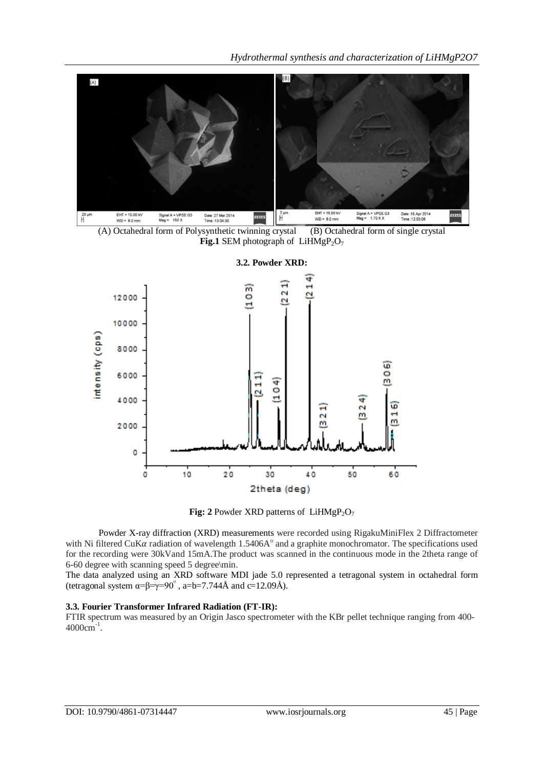*Hydrothermal synthesis and characterization of LiHMgP2O7*







**3.2. Powder XRD:**



Powder X-ray diffraction (XRD) measurements were recorded using RigakuMiniFlex 2 Diffractometer with Ni filtered CuK $\alpha$  radiation of wavelength 1.5406A $^{\circ}$  and a graphite monochromator. The specifications used for the recording were 30kVand 15mA.The product was scanned in the continuous mode in the 2theta range of 6-60 degree with scanning speed 5 degree\min.

The data analyzed using an XRD software MDI jade 5.0 represented a tetragonal system in octahedral form (tetragonal system  $\alpha = \beta = \gamma = 90^\circ$ , a=b=7.744Å and c=12.09Å).

## **3.3. Fourier Transformer Infrared Radiation (FT-IR):**

FTIR spectrum was measured by an Origin Jasco spectrometer with the KBr pellet technique ranging from 400-  $4000 \text{cm}^{-1}$ .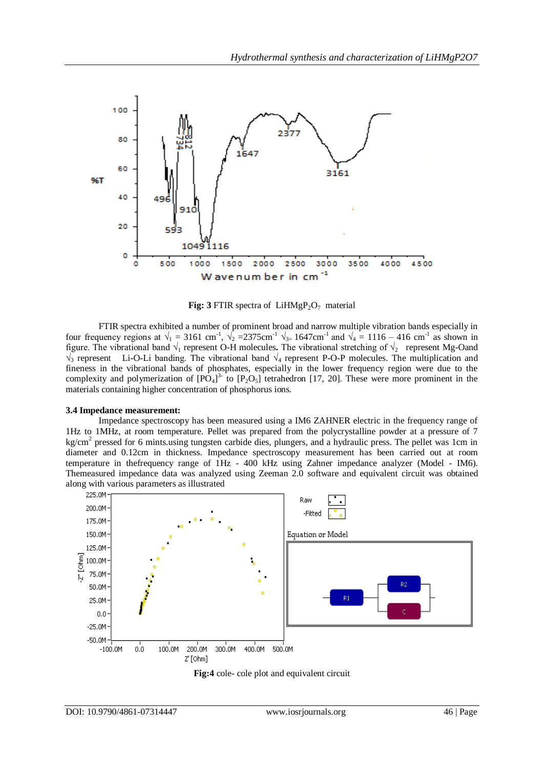

**Fig:**  $3$  FTIR spectra of LiHMgP<sub>2</sub>O<sub>7</sub> material

FTIR spectra exhibited a number of prominent broad and narrow multiple vibration bands especially in four frequency regions at  $\sqrt{1} = 3161$  cm<sup>-1</sup>,  $\sqrt{2} = 2375$ cm<sup>-1</sup>  $\sqrt{3} = 1647$ cm<sup>-1</sup> and  $\sqrt{4} = 1116 - 416$  cm<sup>-1</sup> as shown in figure. The vibrational band  $\sqrt{1}$  represent O-H molecules. The vibrational stretching of  $\sqrt{2}$  represent Mg-Oand  $\sqrt{3}$  represent Li-O-Li banding. The vibrational band  $\sqrt{4}$  represent P-O-P molecules. The multiplication and fineness in the vibrational bands of phosphates, especially in the lower frequency region were due to the complexity and polymerization of  $[PO_4]^3$  to  $[P_2O_5]$  tetrahedron [17, 20]. These were more prominent in the materials containing higher concentration of phosphorus ions.

### **3.4 Impedance measurement:**

Impedance spectroscopy has been measured using a IM6 ZAHNER electric in the frequency range of 1Hz to 1MHz, at room temperature. Pellet was prepared from the polycrystalline powder at a pressure of 7 kg/cm<sup>2</sup> pressed for 6 mints.using tungsten carbide dies, plungers, and a hydraulic press. The pellet was 1cm in diameter and 0.12cm in thickness. Impedance spectroscopy measurement has been carried out at room temperature in thefrequency range of 1Hz - 400 kHz using Zahner impedance analyzer (Model - IM6). Themeasured impedance data was analyzed using Zeeman 2.0 software and equivalent circuit was obtained along with various parameters as illustrated



**Fig:4** cole- cole plot and equivalent circuit